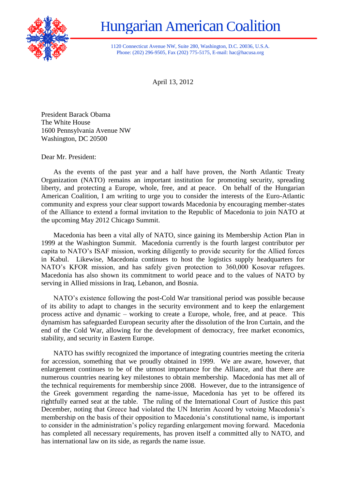

## Hungarian American Coalition

1120 Connecticut Avenue NW, Suite 280, Washington, D.C. 20036, U.S.A. Phone: (202) 296-9505, Fax (202) 775-5175, E-mail: hac@hacusa.org

April 13, 2012

President Barack Obama The White House 1600 Pennsylvania Avenue NW Washington, DC 20500

Dear Mr. President:

As the events of the past year and a half have proven, the North Atlantic Treaty Organization (NATO) remains an important institution for promoting security, spreading liberty, and protecting a Europe, whole, free, and at peace. On behalf of the Hungarian American Coalition, I am writing to urge you to consider the interests of the Euro-Atlantic community and express your clear support towards Macedonia by encouraging member-states of the Alliance to extend a formal invitation to the Republic of Macedonia to join NATO at the upcoming May 2012 Chicago Summit.

Macedonia has been a vital ally of NATO, since gaining its Membership Action Plan in 1999 at the Washington Summit. Macedonia currently is the fourth largest contributor per capita to NATO's ISAF mission, working diligently to provide security for the Allied forces in Kabul. Likewise, Macedonia continues to host the logistics supply headquarters for NATO's KFOR mission, and has safely given protection to 360,000 Kosovar refugees. Macedonia has also shown its commitment to world peace and to the values of NATO by serving in Allied missions in Iraq, Lebanon, and Bosnia.

NATO's existence following the post-Cold War transitional period was possible because of its ability to adapt to changes in the security environment and to keep the enlargement process active and dynamic – working to create a Europe, whole, free, and at peace. This dynamism has safeguarded European security after the dissolution of the Iron Curtain, and the end of the Cold War, allowing for the development of democracy, free market economics, stability, and security in Eastern Europe.

NATO has swiftly recognized the importance of integrating countries meeting the criteria for accession, something that we proudly obtained in 1999. We are aware, however, that enlargement continues to be of the utmost importance for the Alliance, and that there are numerous countries nearing key milestones to obtain membership. Macedonia has met all of the technical requirements for membership since 2008. However, due to the intransigence of the Greek government regarding the name-issue, Macedonia has yet to be offered its rightfully earned seat at the table. The ruling of the International Court of Justice this past December, noting that Greece had violated the UN Interim Accord by vetoing Macedonia's membership on the basis of their opposition to Macedonia's constitutional name, is important to consider in the administration's policy regarding enlargement moving forward. Macedonia has completed all necessary requirements, has proven itself a committed ally to NATO, and has international law on its side, as regards the name issue.